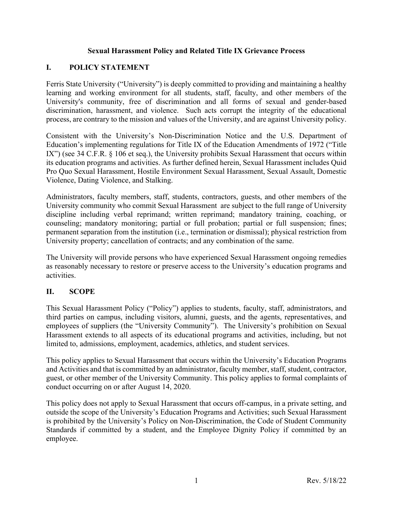### **Sexual Harassment Policy and Related Title IX Grievance Process**

### **I. POLICY STATEMENT**

Ferris State University ("University") is deeply committed to providing and maintaining a healthy learning and working environment for all students, staff, faculty, and other members of the University's community, free of discrimination and all forms of sexual and gender-based discrimination, harassment, and violence. Such acts corrupt the integrity of the educational process, are contrary to the mission and values of the University, and are against University policy.

Consistent with the University's Non-Discrimination Notice and the U.S. Department of Education's implementing regulations for Title IX of the Education Amendments of 1972 ("Title IX") (see 34 C.F.R. § 106 et seq.), the University prohibits Sexual Harassment that occurs within its education programs and activities. As further defined herein, Sexual Harassment includes Quid Pro Quo Sexual Harassment, Hostile Environment Sexual Harassment, Sexual Assault, Domestic Violence, Dating Violence, and Stalking.

Administrators, faculty members, staff, students, contractors, guests, and other members of the University community who commit Sexual Harassment are subject to the full range of University discipline including verbal reprimand; written reprimand; mandatory training, coaching, or counseling; mandatory monitoring; partial or full probation; partial or full suspension; fines; permanent separation from the institution (i.e., termination or dismissal); physical restriction from University property; cancellation of contracts; and any combination of the same.

The University will provide persons who have experienced Sexual Harassment ongoing remedies as reasonably necessary to restore or preserve access to the University's education programs and activities.

### **II. SCOPE**

This Sexual Harassment Policy ("Policy") applies to students, faculty, staff, administrators, and third parties on campus, including visitors, alumni, guests, and the agents, representatives, and employees of suppliers (the "University Community"). The University's prohibition on Sexual Harassment extends to all aspects of its educational programs and activities, including, but not limited to, admissions, employment, academics, athletics, and student services.

This policy applies to Sexual Harassment that occurs within the University's Education Programs and Activities and that is committed by an administrator, faculty member, staff, student, contractor, guest, or other member of the University Community. This policy applies to formal complaints of conduct occurring on or after August 14, 2020.

This policy does not apply to Sexual Harassment that occurs off-campus, in a private setting, and outside the scope of the University's Education Programs and Activities; such Sexual Harassment is prohibited by the University's Policy on Non-Discrimination, the Code of Student Community Standards if committed by a student, and the Employee Dignity Policy if committed by an employee.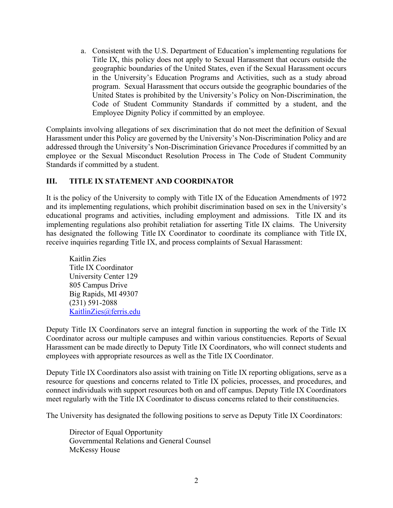a. Consistent with the U.S. Department of Education's implementing regulations for Title IX, this policy does not apply to Sexual Harassment that occurs outside the geographic boundaries of the United States, even if the Sexual Harassment occurs in the University's Education Programs and Activities, such as a study abroad program. Sexual Harassment that occurs outside the geographic boundaries of the United States is prohibited by the University's Policy on Non-Discrimination, the Code of Student Community Standards if committed by a student, and the Employee Dignity Policy if committed by an employee.

Complaints involving allegations of sex discrimination that do not meet the definition of Sexual Harassment under this Policy are governed by the University's Non-Discrimination Policy and are addressed through the University's Non-Discrimination Grievance Procedures if committed by an employee or the Sexual Misconduct Resolution Process in The Code of Student Community Standards if committed by a student.

### **III. TITLE IX STATEMENT AND COORDINATOR**

It is the policy of the University to comply with Title IX of the Education Amendments of 1972 and its implementing regulations, which prohibit discrimination based on sex in the University's educational programs and activities, including employment and admissions. Title IX and its implementing regulations also prohibit retaliation for asserting Title IX claims. The University has designated the following Title IX Coordinator to coordinate its compliance with Title IX, receive inquiries regarding Title IX, and process complaints of Sexual Harassment:

Kaitlin Zies Title IX Coordinator University Center 129 805 Campus Drive Big Rapids, MI 49307 (231) 591-2088 KaitlinZies@ferris.edu

Deputy Title IX Coordinators serve an integral function in supporting the work of the Title IX Coordinator across our multiple campuses and within various constituencies. Reports of Sexual Harassment can be made directly to Deputy Title IX Coordinators, who will connect students and employees with appropriate resources as well as the Title IX Coordinator.

Deputy Title IX Coordinators also assist with training on Title IX reporting obligations, serve as a resource for questions and concerns related to Title IX policies, processes, and procedures, and connect individuals with support resources both on and off campus. Deputy Title IX Coordinators meet regularly with the Title IX Coordinator to discuss concerns related to their constituencies.

The University has designated the following positions to serve as Deputy Title IX Coordinators:

Director of Equal Opportunity Governmental Relations and General Counsel McKessy House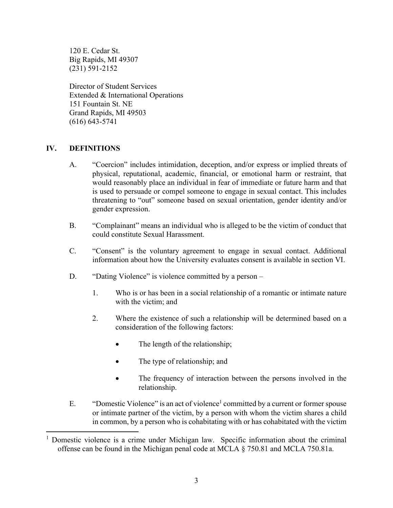120 E. Cedar St. Big Rapids, MI 49307 (231) 591-2152

Director of Student Services Extended & International Operations 151 Fountain St. NE Grand Rapids, MI 49503 (616) 643-5741

### **IV. DEFINITIONS**

- A. "Coercion" includes intimidation, deception, and/or express or implied threats of physical, reputational, academic, financial, or emotional harm or restraint, that would reasonably place an individual in fear of immediate or future harm and that is used to persuade or compel someone to engage in sexual contact. This includes threatening to "out" someone based on sexual orientation, gender identity and/or gender expression.
- B. "Complainant" means an individual who is alleged to be the victim of conduct that could constitute Sexual Harassment.
- C. "Consent" is the voluntary agreement to engage in sexual contact. Additional information about how the University evaluates consent is available in section VI.
- D. "Dating Violence" is violence committed by a person
	- 1. Who is or has been in a social relationship of a romantic or intimate nature with the victim; and
	- 2. Where the existence of such a relationship will be determined based on a consideration of the following factors:
		- The length of the relationship;
		- The type of relationship; and
		- The frequency of interaction between the persons involved in the relationship.
- E. "Domestic Violence" is an act of violence<sup>1</sup> committed by a current or former spouse or intimate partner of the victim, by a person with whom the victim shares a child in common, by a person who is cohabitating with or has cohabitated with the victim

<sup>&</sup>lt;sup>1</sup> Domestic violence is a crime under Michigan law. Specific information about the criminal offense can be found in the Michigan penal code at MCLA § 750.81 and MCLA 750.81a.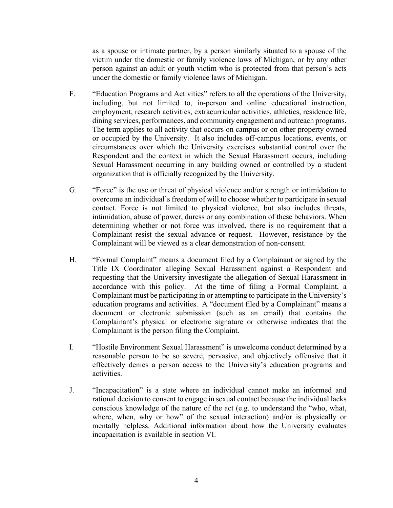as a spouse or intimate partner, by a person similarly situated to a spouse of the victim under the domestic or family violence laws of Michigan, or by any other person against an adult or youth victim who is protected from that person's acts under the domestic or family violence laws of Michigan.

- F. "Education Programs and Activities" refers to all the operations of the University, including, but not limited to, in-person and online educational instruction, employment, research activities, extracurricular activities, athletics, residence life, dining services, performances, and community engagement and outreach programs. The term applies to all activity that occurs on campus or on other property owned or occupied by the University. It also includes off-campus locations, events, or circumstances over which the University exercises substantial control over the Respondent and the context in which the Sexual Harassment occurs, including Sexual Harassment occurring in any building owned or controlled by a student organization that is officially recognized by the University.
- G. "Force" is the use or threat of physical violence and/or strength or intimidation to overcome an individual's freedom of will to choose whether to participate in sexual contact. Force is not limited to physical violence, but also includes threats, intimidation, abuse of power, duress or any combination of these behaviors. When determining whether or not force was involved, there is no requirement that a Complainant resist the sexual advance or request. However, resistance by the Complainant will be viewed as a clear demonstration of non-consent.
- H. "Formal Complaint" means a document filed by a Complainant or signed by the Title IX Coordinator alleging Sexual Harassment against a Respondent and requesting that the University investigate the allegation of Sexual Harassment in accordance with this policy. At the time of filing a Formal Complaint, a Complainant must be participating in or attempting to participate in the University's education programs and activities. A "document filed by a Complainant" means a document or electronic submission (such as an email) that contains the Complainant's physical or electronic signature or otherwise indicates that the Complainant is the person filing the Complaint.
- I. "Hostile Environment Sexual Harassment" is unwelcome conduct determined by a reasonable person to be so severe, pervasive, and objectively offensive that it effectively denies a person access to the University's education programs and activities.
- J. "Incapacitation" is a state where an individual cannot make an informed and rational decision to consent to engage in sexual contact because the individual lacks conscious knowledge of the nature of the act (e.g. to understand the "who, what, where, when, why or how" of the sexual interaction) and/or is physically or mentally helpless. Additional information about how the University evaluates incapacitation is available in section VI.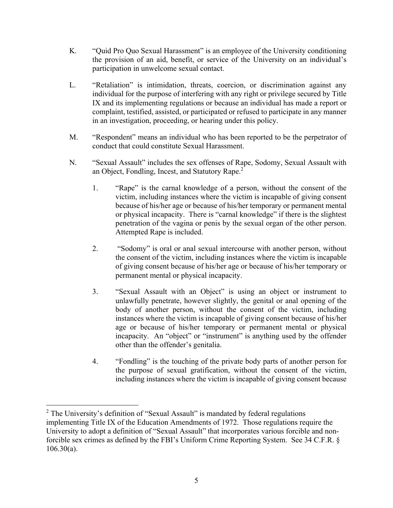- K. "Quid Pro Quo Sexual Harassment" is an employee of the University conditioning the provision of an aid, benefit, or service of the University on an individual's participation in unwelcome sexual contact.
- L. "Retaliation" is intimidation, threats, coercion, or discrimination against any individual for the purpose of interfering with any right or privilege secured by Title IX and its implementing regulations or because an individual has made a report or complaint, testified, assisted, or participated or refused to participate in any manner in an investigation, proceeding, or hearing under this policy.
- M. "Respondent" means an individual who has been reported to be the perpetrator of conduct that could constitute Sexual Harassment.
- N. "Sexual Assault" includes the sex offenses of Rape, Sodomy, Sexual Assault with an Object, Fondling, Incest, and Statutory Rape.2
	- 1. "Rape" is the carnal knowledge of a person, without the consent of the victim, including instances where the victim is incapable of giving consent because of his/her age or because of his/her temporary or permanent mental or physical incapacity. There is "carnal knowledge" if there is the slightest penetration of the vagina or penis by the sexual organ of the other person. Attempted Rape is included.
	- 2. "Sodomy" is oral or anal sexual intercourse with another person, without the consent of the victim, including instances where the victim is incapable of giving consent because of his/her age or because of his/her temporary or permanent mental or physical incapacity.
	- 3. "Sexual Assault with an Object" is using an object or instrument to unlawfully penetrate, however slightly, the genital or anal opening of the body of another person, without the consent of the victim, including instances where the victim is incapable of giving consent because of his/her age or because of his/her temporary or permanent mental or physical incapacity. An "object" or "instrument" is anything used by the offender other than the offender's genitalia.
	- 4. "Fondling" is the touching of the private body parts of another person for the purpose of sexual gratification, without the consent of the victim, including instances where the victim is incapable of giving consent because

 $2$  The University's definition of "Sexual Assault" is mandated by federal regulations implementing Title IX of the Education Amendments of 1972. Those regulations require the University to adopt a definition of "Sexual Assault" that incorporates various forcible and nonforcible sex crimes as defined by the FBI's Uniform Crime Reporting System. See 34 C.F.R. §  $106.30(a)$ .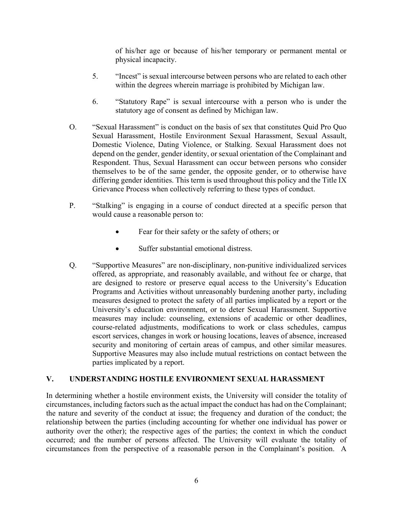of his/her age or because of his/her temporary or permanent mental or physical incapacity.

- 5. "Incest" is sexual intercourse between persons who are related to each other within the degrees wherein marriage is prohibited by Michigan law.
- 6. "Statutory Rape" is sexual intercourse with a person who is under the statutory age of consent as defined by Michigan law.
- O. "Sexual Harassment" is conduct on the basis of sex that constitutes Quid Pro Quo Sexual Harassment, Hostile Environment Sexual Harassment, Sexual Assault, Domestic Violence, Dating Violence, or Stalking. Sexual Harassment does not depend on the gender, gender identity, or sexual orientation of the Complainant and Respondent. Thus, Sexual Harassment can occur between persons who consider themselves to be of the same gender, the opposite gender, or to otherwise have differing gender identities. This term is used throughout this policy and the Title IX Grievance Process when collectively referring to these types of conduct.
- P. "Stalking" is engaging in a course of conduct directed at a specific person that would cause a reasonable person to:
	- Fear for their safety or the safety of others; or
	- Suffer substantial emotional distress.
- Q. "Supportive Measures" are non-disciplinary, non-punitive individualized services offered, as appropriate, and reasonably available, and without fee or charge, that are designed to restore or preserve equal access to the University's Education Programs and Activities without unreasonably burdening another party, including measures designed to protect the safety of all parties implicated by a report or the University's education environment, or to deter Sexual Harassment. Supportive measures may include: counseling, extensions of academic or other deadlines, course-related adjustments, modifications to work or class schedules, campus escort services, changes in work or housing locations, leaves of absence, increased security and monitoring of certain areas of campus, and other similar measures. Supportive Measures may also include mutual restrictions on contact between the parties implicated by a report.

#### **V. UNDERSTANDING HOSTILE ENVIRONMENT SEXUAL HARASSMENT**

In determining whether a hostile environment exists, the University will consider the totality of circumstances, including factors such as the actual impact the conduct has had on the Complainant; the nature and severity of the conduct at issue; the frequency and duration of the conduct; the relationship between the parties (including accounting for whether one individual has power or authority over the other); the respective ages of the parties; the context in which the conduct occurred; and the number of persons affected. The University will evaluate the totality of circumstances from the perspective of a reasonable person in the Complainant's position. A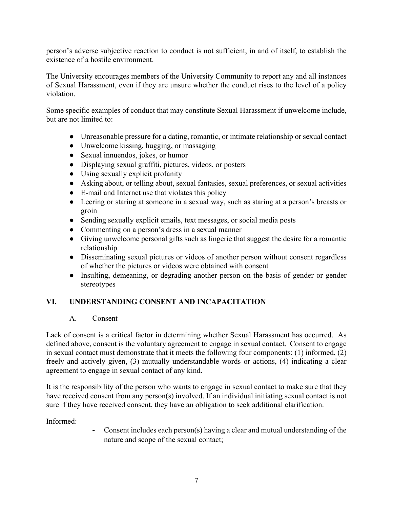person's adverse subjective reaction to conduct is not sufficient, in and of itself, to establish the existence of a hostile environment.

The University encourages members of the University Community to report any and all instances of Sexual Harassment, even if they are unsure whether the conduct rises to the level of a policy violation.

Some specific examples of conduct that may constitute Sexual Harassment if unwelcome include, but are not limited to:

- Unreasonable pressure for a dating, romantic, or intimate relationship or sexual contact
- Unwelcome kissing, hugging, or massaging
- Sexual innuendos, jokes, or humor
- Displaying sexual graffiti, pictures, videos, or posters
- Using sexually explicit profanity
- Asking about, or telling about, sexual fantasies, sexual preferences, or sexual activities
- E-mail and Internet use that violates this policy
- Leering or staring at someone in a sexual way, such as staring at a person's breasts or groin
- Sending sexually explicit emails, text messages, or social media posts
- Commenting on a person's dress in a sexual manner
- Giving unwelcome personal gifts such as lingerie that suggest the desire for a romantic relationship
- Disseminating sexual pictures or videos of another person without consent regardless of whether the pictures or videos were obtained with consent
- Insulting, demeaning, or degrading another person on the basis of gender or gender stereotypes

## **VI. UNDERSTANDING CONSENT AND INCAPACITATION**

#### A. Consent

Lack of consent is a critical factor in determining whether Sexual Harassment has occurred. As defined above, consent is the voluntary agreement to engage in sexual contact. Consent to engage in sexual contact must demonstrate that it meets the following four components: (1) informed, (2) freely and actively given, (3) mutually understandable words or actions, (4) indicating a clear agreement to engage in sexual contact of any kind.

It is the responsibility of the person who wants to engage in sexual contact to make sure that they have received consent from any person(s) involved. If an individual initiating sexual contact is not sure if they have received consent, they have an obligation to seek additional clarification.

Informed:

- Consent includes each person(s) having a clear and mutual understanding of the nature and scope of the sexual contact;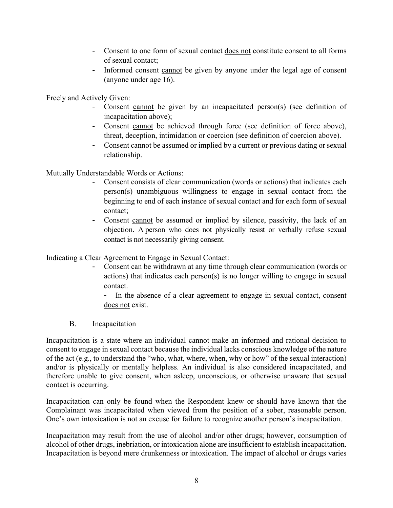- Consent to one form of sexual contact does not constitute consent to all forms of sexual contact;
- Informed consent cannot be given by anyone under the legal age of consent (anyone under age 16).

Freely and Actively Given:

- Consent cannot be given by an incapacitated person(s) (see definition of incapacitation above);
- Consent cannot be achieved through force (see definition of force above), threat, deception, intimidation or coercion (see definition of coercion above).
- Consent cannot be assumed or implied by a current or previous dating or sexual relationship.

Mutually Understandable Words or Actions:

- Consent consists of clear communication (words or actions) that indicates each person(s) unambiguous willingness to engage in sexual contact from the beginning to end of each instance of sexual contact and for each form of sexual contact;
- Consent cannot be assumed or implied by silence, passivity, the lack of an objection. A person who does not physically resist or verbally refuse sexual contact is not necessarily giving consent.

Indicating a Clear Agreement to Engage in Sexual Contact:

- Consent can be withdrawn at any time through clear communication (words or actions) that indicates each person(s) is no longer willing to engage in sexual contact.

- In the absence of a clear agreement to engage in sexual contact, consent does not exist.

B. Incapacitation

Incapacitation is a state where an individual cannot make an informed and rational decision to consent to engage in sexual contact because the individual lacks conscious knowledge of the nature of the act (e.g., to understand the "who, what, where, when, why or how" of the sexual interaction) and/or is physically or mentally helpless. An individual is also considered incapacitated, and therefore unable to give consent, when asleep, unconscious, or otherwise unaware that sexual contact is occurring.

Incapacitation can only be found when the Respondent knew or should have known that the Complainant was incapacitated when viewed from the position of a sober, reasonable person. One's own intoxication is not an excuse for failure to recognize another person's incapacitation.

Incapacitation may result from the use of alcohol and/or other drugs; however, consumption of alcohol of other drugs, inebriation, or intoxication alone are insufficient to establish incapacitation. Incapacitation is beyond mere drunkenness or intoxication. The impact of alcohol or drugs varies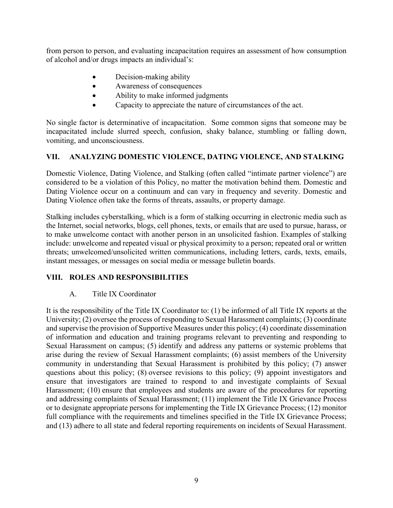from person to person, and evaluating incapacitation requires an assessment of how consumption of alcohol and/or drugs impacts an individual's:

- Decision-making ability
- Awareness of consequences
- Ability to make informed judgments
- Capacity to appreciate the nature of circumstances of the act.

No single factor is determinative of incapacitation. Some common signs that someone may be incapacitated include slurred speech, confusion, shaky balance, stumbling or falling down, vomiting, and unconsciousness.

### **VII. ANALYZING DOMESTIC VIOLENCE, DATING VIOLENCE, AND STALKING**

Domestic Violence, Dating Violence, and Stalking (often called "intimate partner violence") are considered to be a violation of this Policy, no matter the motivation behind them. Domestic and Dating Violence occur on a continuum and can vary in frequency and severity. Domestic and Dating Violence often take the forms of threats, assaults, or property damage.

Stalking includes cyberstalking, which is a form of stalking occurring in electronic media such as the Internet, social networks, blogs, cell phones, texts, or emails that are used to pursue, harass, or to make unwelcome contact with another person in an unsolicited fashion. Examples of stalking include: unwelcome and repeated visual or physical proximity to a person; repeated oral or written threats; unwelcomed/unsolicited written communications, including letters, cards, texts, emails, instant messages, or messages on social media or message bulletin boards.

### **VIII. ROLES AND RESPONSIBILITIES**

### A. Title IX Coordinator

It is the responsibility of the Title IX Coordinator to: (1) be informed of all Title IX reports at the University; (2) oversee the process of responding to Sexual Harassment complaints; (3) coordinate and supervise the provision of Supportive Measures under this policy; (4) coordinate dissemination of information and education and training programs relevant to preventing and responding to Sexual Harassment on campus; (5) identify and address any patterns or systemic problems that arise during the review of Sexual Harassment complaints; (6) assist members of the University community in understanding that Sexual Harassment is prohibited by this policy; (7) answer questions about this policy; (8) oversee revisions to this policy; (9) appoint investigators and ensure that investigators are trained to respond to and investigate complaints of Sexual Harassment; (10) ensure that employees and students are aware of the procedures for reporting and addressing complaints of Sexual Harassment; (11) implement the Title IX Grievance Process or to designate appropriate persons for implementing the Title IX Grievance Process; (12) monitor full compliance with the requirements and timelines specified in the Title IX Grievance Process; and (13) adhere to all state and federal reporting requirements on incidents of Sexual Harassment.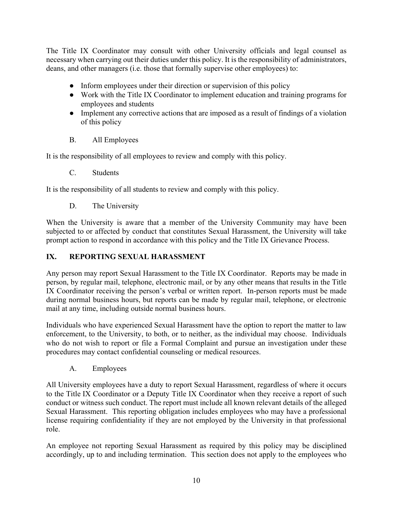The Title IX Coordinator may consult with other University officials and legal counsel as necessary when carrying out their duties under this policy. It is the responsibility of administrators, deans, and other managers (i.e. those that formally supervise other employees) to:

- Inform employees under their direction or supervision of this policy
- Work with the Title IX Coordinator to implement education and training programs for employees and students
- Implement any corrective actions that are imposed as a result of findings of a violation of this policy
- B. All Employees

It is the responsibility of all employees to review and comply with this policy.

C. Students

It is the responsibility of all students to review and comply with this policy.

D. The University

When the University is aware that a member of the University Community may have been subjected to or affected by conduct that constitutes Sexual Harassment, the University will take prompt action to respond in accordance with this policy and the Title IX Grievance Process.

### **IX. REPORTING SEXUAL HARASSMENT**

Any person may report Sexual Harassment to the Title IX Coordinator. Reports may be made in person, by regular mail, telephone, electronic mail, or by any other means that results in the Title IX Coordinator receiving the person's verbal or written report. In-person reports must be made during normal business hours, but reports can be made by regular mail, telephone, or electronic mail at any time, including outside normal business hours.

Individuals who have experienced Sexual Harassment have the option to report the matter to law enforcement, to the University, to both, or to neither, as the individual may choose. Individuals who do not wish to report or file a Formal Complaint and pursue an investigation under these procedures may contact confidential counseling or medical resources.

A. Employees

All University employees have a duty to report Sexual Harassment, regardless of where it occurs to the Title IX Coordinator or a Deputy Title IX Coordinator when they receive a report of such conduct or witness such conduct. The report must include all known relevant details of the alleged Sexual Harassment. This reporting obligation includes employees who may have a professional license requiring confidentiality if they are not employed by the University in that professional role.

An employee not reporting Sexual Harassment as required by this policy may be disciplined accordingly, up to and including termination. This section does not apply to the employees who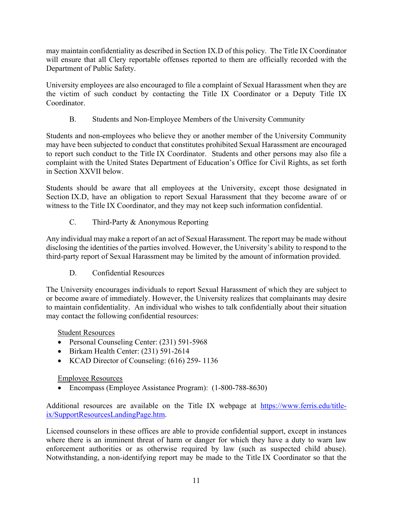may maintain confidentiality as described in Section IX.D of this policy. The Title IX Coordinator will ensure that all Clery reportable offenses reported to them are officially recorded with the Department of Public Safety.

University employees are also encouraged to file a complaint of Sexual Harassment when they are the victim of such conduct by contacting the Title IX Coordinator or a Deputy Title IX Coordinator.

B. Students and Non-Employee Members of the University Community

Students and non-employees who believe they or another member of the University Community may have been subjected to conduct that constitutes prohibited Sexual Harassment are encouraged to report such conduct to the Title IX Coordinator. Students and other persons may also file a complaint with the United States Department of Education's Office for Civil Rights, as set forth in Section XXVII below.

Students should be aware that all employees at the University, except those designated in Section IX.D, have an obligation to report Sexual Harassment that they become aware of or witness to the Title IX Coordinator, and they may not keep such information confidential.

C. Third-Party & Anonymous Reporting

Any individual may make a report of an act of Sexual Harassment. The report may be made without disclosing the identities of the parties involved. However, the University's ability to respond to the third-party report of Sexual Harassment may be limited by the amount of information provided.

D. Confidential Resources

The University encourages individuals to report Sexual Harassment of which they are subject to or become aware of immediately. However, the University realizes that complainants may desire to maintain confidentiality. An individual who wishes to talk confidentially about their situation may contact the following confidential resources:

Student Resources

- Personal Counseling Center: (231) 591-5968
- Birkam Health Center: (231) 591-2614
- KCAD Director of Counseling: (616) 259-1136

## Employee Resources

Encompass (Employee Assistance Program): (1-800-788-8630)

Additional resources are available on the Title IX webpage at https://www.ferris.edu/titleix/SupportResourcesLandingPage.htm.

Licensed counselors in these offices are able to provide confidential support, except in instances where there is an imminent threat of harm or danger for which they have a duty to warn law enforcement authorities or as otherwise required by law (such as suspected child abuse). Notwithstanding, a non-identifying report may be made to the Title IX Coordinator so that the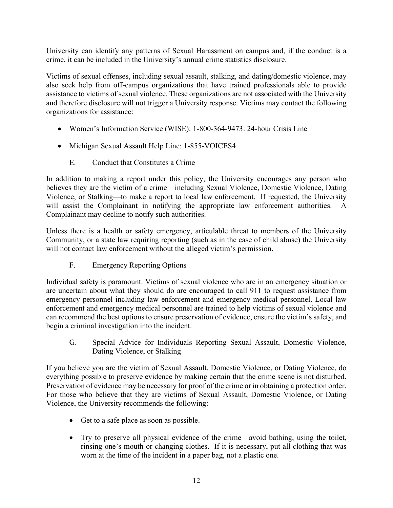University can identify any patterns of Sexual Harassment on campus and, if the conduct is a crime, it can be included in the University's annual crime statistics disclosure.

Victims of sexual offenses, including sexual assault, stalking, and dating/domestic violence, may also seek help from off-campus organizations that have trained professionals able to provide assistance to victims of sexual violence. These organizations are not associated with the University and therefore disclosure will not trigger a University response. Victims may contact the following organizations for assistance:

- Women's Information Service (WISE): 1-800-364-9473: 24-hour Crisis Line
- Michigan Sexual Assault Help Line: 1-855-VOICES4
	- E. Conduct that Constitutes a Crime

In addition to making a report under this policy, the University encourages any person who believes they are the victim of a crime—including Sexual Violence, Domestic Violence, Dating Violence, or Stalking—to make a report to local law enforcement. If requested, the University will assist the Complainant in notifying the appropriate law enforcement authorities. A Complainant may decline to notify such authorities.

Unless there is a health or safety emergency, articulable threat to members of the University Community, or a state law requiring reporting (such as in the case of child abuse) the University will not contact law enforcement without the alleged victim's permission.

F. Emergency Reporting Options

Individual safety is paramount. Victims of sexual violence who are in an emergency situation or are uncertain about what they should do are encouraged to call 911 to request assistance from emergency personnel including law enforcement and emergency medical personnel. Local law enforcement and emergency medical personnel are trained to help victims of sexual violence and can recommend the best options to ensure preservation of evidence, ensure the victim's safety, and begin a criminal investigation into the incident.

G. Special Advice for Individuals Reporting Sexual Assault, Domestic Violence, Dating Violence, or Stalking

If you believe you are the victim of Sexual Assault, Domestic Violence, or Dating Violence, do everything possible to preserve evidence by making certain that the crime scene is not disturbed. Preservation of evidence may be necessary for proof of the crime or in obtaining a protection order. For those who believe that they are victims of Sexual Assault, Domestic Violence, or Dating Violence, the University recommends the following:

- Get to a safe place as soon as possible.
- Try to preserve all physical evidence of the crime—avoid bathing, using the toilet, rinsing one's mouth or changing clothes. If it is necessary, put all clothing that was worn at the time of the incident in a paper bag, not a plastic one.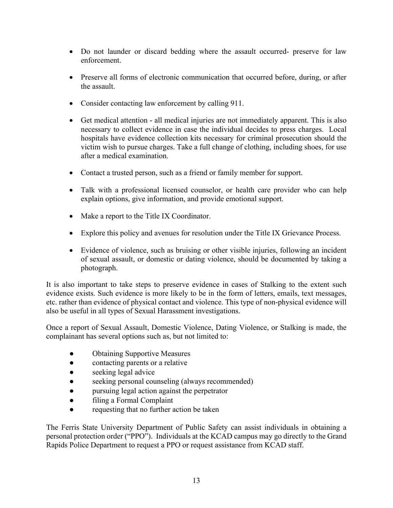- Do not launder or discard bedding where the assault occurred- preserve for law enforcement.
- Preserve all forms of electronic communication that occurred before, during, or after the assault.
- Consider contacting law enforcement by calling 911.
- Get medical attention all medical injuries are not immediately apparent. This is also necessary to collect evidence in case the individual decides to press charges. Local hospitals have evidence collection kits necessary for criminal prosecution should the victim wish to pursue charges. Take a full change of clothing, including shoes, for use after a medical examination.
- Contact a trusted person, such as a friend or family member for support.
- Talk with a professional licensed counselor, or health care provider who can help explain options, give information, and provide emotional support.
- Make a report to the Title IX Coordinator.
- Explore this policy and avenues for resolution under the Title IX Grievance Process.
- Evidence of violence, such as bruising or other visible injuries, following an incident of sexual assault, or domestic or dating violence, should be documented by taking a photograph.

It is also important to take steps to preserve evidence in cases of Stalking to the extent such evidence exists. Such evidence is more likely to be in the form of letters, emails, text messages, etc. rather than evidence of physical contact and violence. This type of non-physical evidence will also be useful in all types of Sexual Harassment investigations.

Once a report of Sexual Assault, Domestic Violence, Dating Violence, or Stalking is made, the complainant has several options such as, but not limited to:

- Obtaining Supportive Measures
- contacting parents or a relative
- seeking legal advice
- seeking personal counseling (always recommended)
- pursuing legal action against the perpetrator
- filing a Formal Complaint
- requesting that no further action be taken

The Ferris State University Department of Public Safety can assist individuals in obtaining a personal protection order ("PPO"). Individuals at the KCAD campus may go directly to the Grand Rapids Police Department to request a PPO or request assistance from KCAD staff.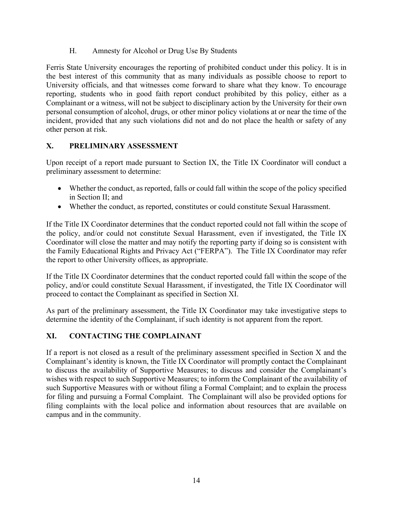H. Amnesty for Alcohol or Drug Use By Students

Ferris State University encourages the reporting of prohibited conduct under this policy. It is in the best interest of this community that as many individuals as possible choose to report to University officials, and that witnesses come forward to share what they know. To encourage reporting, students who in good faith report conduct prohibited by this policy, either as a Complainant or a witness, will not be subject to disciplinary action by the University for their own personal consumption of alcohol, drugs, or other minor policy violations at or near the time of the incident, provided that any such violations did not and do not place the health or safety of any other person at risk.

## **X. PRELIMINARY ASSESSMENT**

Upon receipt of a report made pursuant to Section IX, the Title IX Coordinator will conduct a preliminary assessment to determine:

- Whether the conduct, as reported, falls or could fall within the scope of the policy specified in Section II; and
- Whether the conduct, as reported, constitutes or could constitute Sexual Harassment.

If the Title IX Coordinator determines that the conduct reported could not fall within the scope of the policy, and/or could not constitute Sexual Harassment, even if investigated, the Title IX Coordinator will close the matter and may notify the reporting party if doing so is consistent with the Family Educational Rights and Privacy Act ("FERPA"). The Title IX Coordinator may refer the report to other University offices, as appropriate.

If the Title IX Coordinator determines that the conduct reported could fall within the scope of the policy, and/or could constitute Sexual Harassment, if investigated, the Title IX Coordinator will proceed to contact the Complainant as specified in Section XI.

As part of the preliminary assessment, the Title IX Coordinator may take investigative steps to determine the identity of the Complainant, if such identity is not apparent from the report.

## **XI. CONTACTING THE COMPLAINANT**

If a report is not closed as a result of the preliminary assessment specified in Section X and the Complainant's identity is known, the Title IX Coordinator will promptly contact the Complainant to discuss the availability of Supportive Measures; to discuss and consider the Complainant's wishes with respect to such Supportive Measures; to inform the Complainant of the availability of such Supportive Measures with or without filing a Formal Complaint; and to explain the process for filing and pursuing a Formal Complaint. The Complainant will also be provided options for filing complaints with the local police and information about resources that are available on campus and in the community.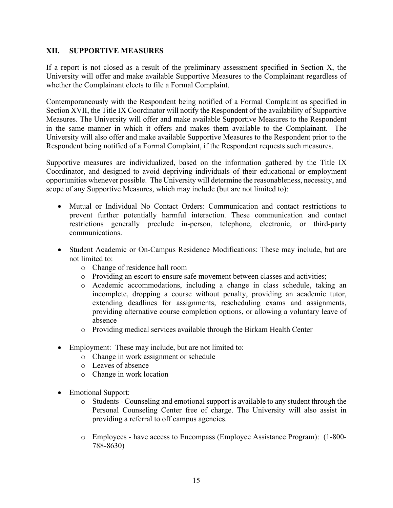#### **XII. SUPPORTIVE MEASURES**

If a report is not closed as a result of the preliminary assessment specified in Section X, the University will offer and make available Supportive Measures to the Complainant regardless of whether the Complainant elects to file a Formal Complaint.

Contemporaneously with the Respondent being notified of a Formal Complaint as specified in Section XVII, the Title IX Coordinator will notify the Respondent of the availability of Supportive Measures. The University will offer and make available Supportive Measures to the Respondent in the same manner in which it offers and makes them available to the Complainant. The University will also offer and make available Supportive Measures to the Respondent prior to the Respondent being notified of a Formal Complaint, if the Respondent requests such measures.

Supportive measures are individualized, based on the information gathered by the Title IX Coordinator, and designed to avoid depriving individuals of their educational or employment opportunities whenever possible. The University will determine the reasonableness, necessity, and scope of any Supportive Measures, which may include (but are not limited to):

- Mutual or Individual No Contact Orders: Communication and contact restrictions to prevent further potentially harmful interaction. These communication and contact restrictions generally preclude in-person, telephone, electronic, or third-party communications.
- Student Academic or On-Campus Residence Modifications: These may include, but are not limited to:
	- o Change of residence hall room
	- o Providing an escort to ensure safe movement between classes and activities;
	- o Academic accommodations, including a change in class schedule, taking an incomplete, dropping a course without penalty, providing an academic tutor, extending deadlines for assignments, rescheduling exams and assignments, providing alternative course completion options, or allowing a voluntary leave of absence
	- o Providing medical services available through the Birkam Health Center
- Employment: These may include, but are not limited to:
	- o Change in work assignment or schedule
	- o Leaves of absence
	- o Change in work location
- Emotional Support:
	- o Students Counseling and emotional support is available to any student through the Personal Counseling Center free of charge. The University will also assist in providing a referral to off campus agencies.
	- o Employees have access to Encompass (Employee Assistance Program): (1-800- 788-8630)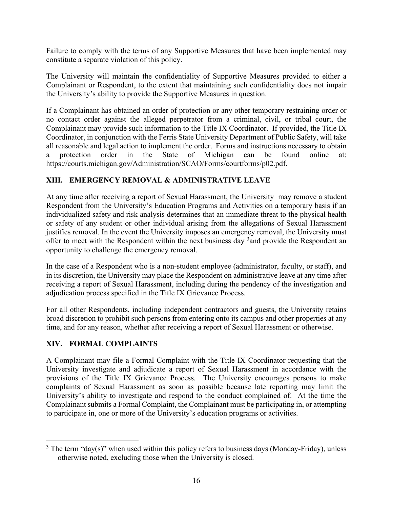Failure to comply with the terms of any Supportive Measures that have been implemented may constitute a separate violation of this policy.

The University will maintain the confidentiality of Supportive Measures provided to either a Complainant or Respondent, to the extent that maintaining such confidentiality does not impair the University's ability to provide the Supportive Measures in question.

If a Complainant has obtained an order of protection or any other temporary restraining order or no contact order against the alleged perpetrator from a criminal, civil, or tribal court, the Complainant may provide such information to the Title IX Coordinator. If provided, the Title IX Coordinator, in conjunction with the Ferris State University Department of Public Safety, will take all reasonable and legal action to implement the order. Forms and instructions necessary to obtain a protection order in the State of Michigan can be found online at: https://courts.michigan.gov/Administration/SCAO/Forms/courtforms/p02.pdf.

### **XIII. EMERGENCY REMOVAL & ADMINISTRATIVE LEAVE**

At any time after receiving a report of Sexual Harassment, the University may remove a student Respondent from the University's Education Programs and Activities on a temporary basis if an individualized safety and risk analysis determines that an immediate threat to the physical health or safety of any student or other individual arising from the allegations of Sexual Harassment justifies removal. In the event the University imposes an emergency removal, the University must offer to meet with the Respondent within the next business day <sup>3</sup> and provide the Respondent an opportunity to challenge the emergency removal.

In the case of a Respondent who is a non-student employee (administrator, faculty, or staff), and in its discretion, the University may place the Respondent on administrative leave at any time after receiving a report of Sexual Harassment, including during the pendency of the investigation and adjudication process specified in the Title IX Grievance Process.

For all other Respondents, including independent contractors and guests, the University retains broad discretion to prohibit such persons from entering onto its campus and other properties at any time, and for any reason, whether after receiving a report of Sexual Harassment or otherwise.

### **XIV. FORMAL COMPLAINTS**

A Complainant may file a Formal Complaint with the Title IX Coordinator requesting that the University investigate and adjudicate a report of Sexual Harassment in accordance with the provisions of the Title IX Grievance Process. The University encourages persons to make complaints of Sexual Harassment as soon as possible because late reporting may limit the University's ability to investigate and respond to the conduct complained of. At the time the Complainant submits a Formal Complaint, the Complainant must be participating in, or attempting to participate in, one or more of the University's education programs or activities.

 $3$  The term "day(s)" when used within this policy refers to business days (Monday-Friday), unless otherwise noted, excluding those when the University is closed.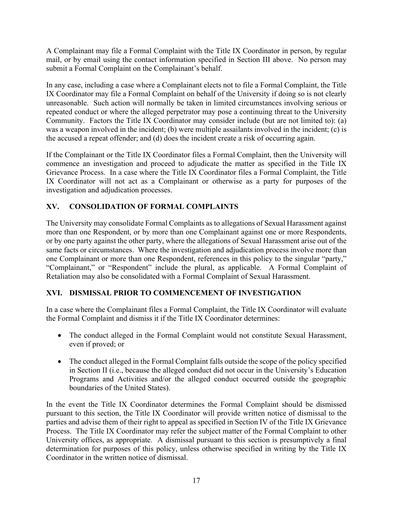A Complainant may file a Formal Complaint with the Title IX Coordinator in person, by regular mail, or by email using the contact information specified in Section III above. No person may submit a Formal Complaint on the Complainant's behalf.

In any case, including a case where a Complainant elects not to file a Formal Complaint, the Title IX Coordinator may file a Formal Complaint on behalf of the University if doing so is not clearly unreasonable. Such action will normally be taken in limited circumstances involving serious or repeated conduct or where the alleged perpetrator may pose a continuing threat to the University Community. Factors the Title IX Coordinator may consider include (but are not limited to): (a) was a weapon involved in the incident; (b) were multiple assailants involved in the incident; (c) is the accused a repeat offender; and (d) does the incident create a risk of occurring again.

If the Complainant or the Title IX Coordinator files a Formal Complaint, then the University will commence an investigation and proceed to adjudicate the matter as specified in the Title IX Grievance Process. In a case where the Title IX Coordinator files a Formal Complaint, the Title IX Coordinator will not act as a Complainant or otherwise as a party for purposes of the investigation and adjudication processes.

# **XV. CONSOLIDATION OF FORMAL COMPLAINTS**

The University may consolidate Formal Complaints as to allegations of Sexual Harassment against more than one Respondent, or by more than one Complainant against one or more Respondents, or by one party against the other party, where the allegations of Sexual Harassment arise out of the same facts or circumstances. Where the investigation and adjudication process involve more than one Complainant or more than one Respondent, references in this policy to the singular "party," "Complainant," or "Respondent" include the plural, as applicable. A Formal Complaint of Retaliation may also be consolidated with a Formal Complaint of Sexual Harassment.

## **XVI. DISMISSAL PRIOR TO COMMENCEMENT OF INVESTIGATION**

In a case where the Complainant files a Formal Complaint, the Title IX Coordinator will evaluate the Formal Complaint and dismiss it if the Title IX Coordinator determines:

- The conduct alleged in the Formal Complaint would not constitute Sexual Harassment, even if proved; or
- The conduct alleged in the Formal Complaint falls outside the scope of the policy specified in Section II (i.e., because the alleged conduct did not occur in the University's Education Programs and Activities and/or the alleged conduct occurred outside the geographic boundaries of the United States).

In the event the Title IX Coordinator determines the Formal Complaint should be dismissed pursuant to this section, the Title IX Coordinator will provide written notice of dismissal to the parties and advise them of their right to appeal as specified in Section IV of the Title IX Grievance Process. The Title IX Coordinator may refer the subject matter of the Formal Complaint to other University offices, as appropriate. A dismissal pursuant to this section is presumptively a final determination for purposes of this policy, unless otherwise specified in writing by the Title IX Coordinator in the written notice of dismissal.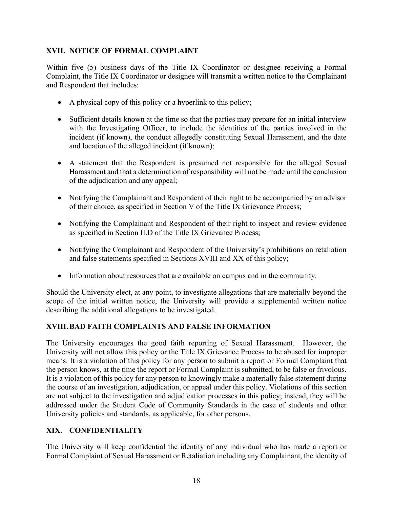### **XVII. NOTICE OF FORMAL COMPLAINT**

Within five (5) business days of the Title IX Coordinator or designee receiving a Formal Complaint, the Title IX Coordinator or designee will transmit a written notice to the Complainant and Respondent that includes:

- A physical copy of this policy or a hyperlink to this policy;
- Sufficient details known at the time so that the parties may prepare for an initial interview with the Investigating Officer, to include the identities of the parties involved in the incident (if known), the conduct allegedly constituting Sexual Harassment, and the date and location of the alleged incident (if known);
- A statement that the Respondent is presumed not responsible for the alleged Sexual Harassment and that a determination of responsibility will not be made until the conclusion of the adjudication and any appeal;
- Notifying the Complainant and Respondent of their right to be accompanied by an advisor of their choice, as specified in Section V of the Title IX Grievance Process;
- Notifying the Complainant and Respondent of their right to inspect and review evidence as specified in Section II.D of the Title IX Grievance Process;
- Notifying the Complainant and Respondent of the University's prohibitions on retaliation and false statements specified in Sections XVIII and XX of this policy;
- Information about resources that are available on campus and in the community.

Should the University elect, at any point, to investigate allegations that are materially beyond the scope of the initial written notice, the University will provide a supplemental written notice describing the additional allegations to be investigated.

## **XVIII.BAD FAITH COMPLAINTS AND FALSE INFORMATION**

The University encourages the good faith reporting of Sexual Harassment. However, the University will not allow this policy or the Title IX Grievance Process to be abused for improper means. It is a violation of this policy for any person to submit a report or Formal Complaint that the person knows, at the time the report or Formal Complaint is submitted, to be false or frivolous. It is a violation of this policy for any person to knowingly make a materially false statement during the course of an investigation, adjudication, or appeal under this policy. Violations of this section are not subject to the investigation and adjudication processes in this policy; instead, they will be addressed under the Student Code of Community Standards in the case of students and other University policies and standards, as applicable, for other persons.

## **XIX. CONFIDENTIALITY**

The University will keep confidential the identity of any individual who has made a report or Formal Complaint of Sexual Harassment or Retaliation including any Complainant, the identity of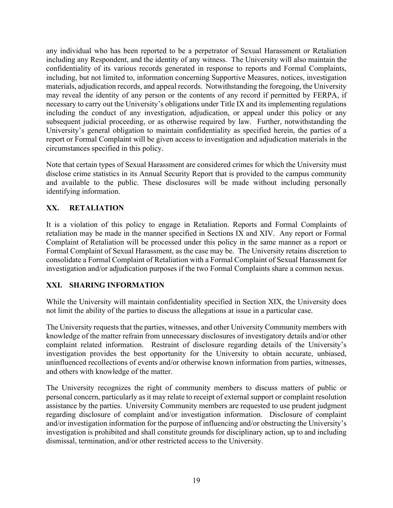any individual who has been reported to be a perpetrator of Sexual Harassment or Retaliation including any Respondent, and the identity of any witness. The University will also maintain the confidentiality of its various records generated in response to reports and Formal Complaints, including, but not limited to, information concerning Supportive Measures, notices, investigation materials, adjudication records, and appeal records. Notwithstanding the foregoing, the University may reveal the identity of any person or the contents of any record if permitted by FERPA, if necessary to carry out the University's obligations under Title IX and its implementing regulations including the conduct of any investigation, adjudication, or appeal under this policy or any subsequent judicial proceeding, or as otherwise required by law. Further, notwithstanding the University's general obligation to maintain confidentiality as specified herein, the parties of a report or Formal Complaint will be given access to investigation and adjudication materials in the circumstances specified in this policy.

Note that certain types of Sexual Harassment are considered crimes for which the University must disclose crime statistics in its Annual Security Report that is provided to the campus community and available to the public. These disclosures will be made without including personally identifying information.

## **XX. RETALIATION**

It is a violation of this policy to engage in Retaliation. Reports and Formal Complaints of retaliation may be made in the manner specified in Sections IX and XIV. Any report or Formal Complaint of Retaliation will be processed under this policy in the same manner as a report or Formal Complaint of Sexual Harassment, as the case may be. The University retains discretion to consolidate a Formal Complaint of Retaliation with a Formal Complaint of Sexual Harassment for investigation and/or adjudication purposes if the two Formal Complaints share a common nexus.

## **XXI. SHARING INFORMATION**

While the University will maintain confidentiality specified in Section XIX, the University does not limit the ability of the parties to discuss the allegations at issue in a particular case.

The University requests that the parties, witnesses, and other University Community members with knowledge of the matter refrain from unnecessary disclosures of investigatory details and/or other complaint related information. Restraint of disclosure regarding details of the University's investigation provides the best opportunity for the University to obtain accurate, unbiased, uninfluenced recollections of events and/or otherwise known information from parties, witnesses, and others with knowledge of the matter.

The University recognizes the right of community members to discuss matters of public or personal concern, particularly as it may relate to receipt of external support or complaint resolution assistance by the parties. University Community members are requested to use prudent judgment regarding disclosure of complaint and/or investigation information. Disclosure of complaint and/or investigation information for the purpose of influencing and/or obstructing the University's investigation is prohibited and shall constitute grounds for disciplinary action, up to and including dismissal, termination, and/or other restricted access to the University.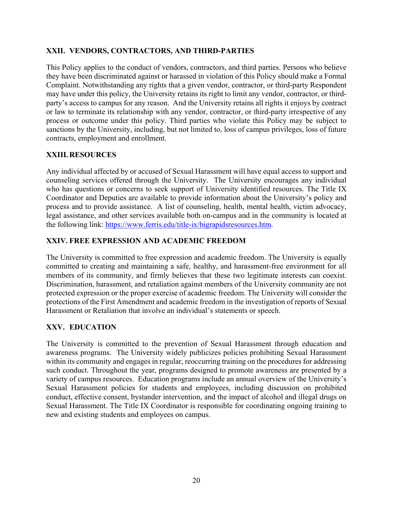### **XXII. VENDORS, CONTRACTORS, AND THIRD-PARTIES**

This Policy applies to the conduct of vendors, contractors, and third parties. Persons who believe they have been discriminated against or harassed in violation of this Policy should make a Formal Complaint. Notwithstanding any rights that a given vendor, contractor, or third-party Respondent may have under this policy, the University retains its right to limit any vendor, contractor, or thirdparty's access to campus for any reason. And the University retains all rights it enjoys by contract or law to terminate its relationship with any vendor, contractor, or third-party irrespective of any process or outcome under this policy. Third parties who violate this Policy may be subject to sanctions by the University, including, but not limited to, loss of campus privileges, loss of future contracts, employment and enrollment.

### **XXIII.RESOURCES**

Any individual affected by or accused of Sexual Harassment will have equal access to support and counseling services offered through the University. The University encourages any individual who has questions or concerns to seek support of University identified resources. The Title IX Coordinator and Deputies are available to provide information about the University's policy and process and to provide assistance. A list of counseling, health, mental health, victim advocacy, legal assistance, and other services available both on-campus and in the community is located at the following link: https://www.ferris.edu/title-ix/bigrapidsresources.htm.

### **XXIV. FREE EXPRESSION AND ACADEMIC FREEDOM**

The University is committed to free expression and academic freedom. The University is equally committed to creating and maintaining a safe, healthy, and harassment-free environment for all members of its community, and firmly believes that these two legitimate interests can coexist. Discrimination, harassment, and retaliation against members of the University community are not protected expression or the proper exercise of academic freedom. The University will consider the protections of the First Amendment and academic freedom in the investigation of reports of Sexual Harassment or Retaliation that involve an individual's statements or speech.

## **XXV. EDUCATION**

The University is committed to the prevention of Sexual Harassment through education and awareness programs. The University widely publicizes policies prohibiting Sexual Harassment within its community and engages in regular, reoccurring training on the procedures for addressing such conduct. Throughout the year, programs designed to promote awareness are presented by a variety of campus resources. Education programs include an annual overview of the University's Sexual Harassment policies for students and employees, including discussion on prohibited conduct, effective consent, bystander intervention, and the impact of alcohol and illegal drugs on Sexual Harassment. The Title IX Coordinator is responsible for coordinating ongoing training to new and existing students and employees on campus.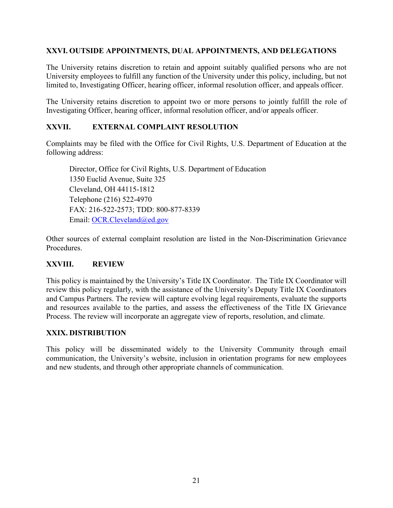### **XXVI. OUTSIDE APPOINTMENTS, DUAL APPOINTMENTS, AND DELEGATIONS**

The University retains discretion to retain and appoint suitably qualified persons who are not University employees to fulfill any function of the University under this policy, including, but not limited to, Investigating Officer, hearing officer, informal resolution officer, and appeals officer.

The University retains discretion to appoint two or more persons to jointly fulfill the role of Investigating Officer, hearing officer, informal resolution officer, and/or appeals officer.

### **XXVII. EXTERNAL COMPLAINT RESOLUTION**

Complaints may be filed with the Office for Civil Rights, U.S. Department of Education at the following address:

Director, Office for Civil Rights, U.S. Department of Education 1350 Euclid Avenue, Suite 325 Cleveland, OH 44115-1812 Telephone (216) 522-4970 FAX: 216-522-2573; TDD: 800-877-8339 Email: OCR.Cleveland@ed.gov

Other sources of external complaint resolution are listed in the Non-Discrimination Grievance Procedures.

#### **XXVIII. REVIEW**

This policy is maintained by the University's Title IX Coordinator. The Title IX Coordinator will review this policy regularly, with the assistance of the University's Deputy Title IX Coordinators and Campus Partners. The review will capture evolving legal requirements, evaluate the supports and resources available to the parties, and assess the effectiveness of the Title IX Grievance Process. The review will incorporate an aggregate view of reports, resolution, and climate.

#### **XXIX. DISTRIBUTION**

This policy will be disseminated widely to the University Community through email communication, the University's website, inclusion in orientation programs for new employees and new students, and through other appropriate channels of communication.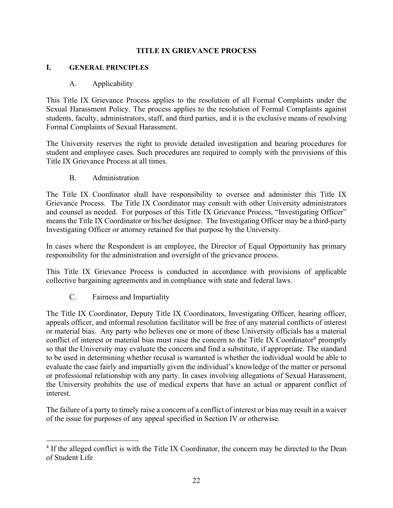### **TITLE IX GRIEVANCE PROCESS**

#### **I. GENERAL PRINCIPLES**

#### A. Applicability

This Title IX Grievance Process applies to the resolution of all Formal Complaints under the Sexual Harassment Policy. The process applies to the resolution of Formal Complaints against students, faculty, administrators, staff, and third parties, and it is the exclusive means of resolving Formal Complaints of Sexual Harassment.

The University reserves the right to provide detailed investigation and hearing procedures for student and employee cases. Such procedures are required to comply with the provisions of this Title IX Grievance Process at all times.

B. Administration

The Title IX Coordinator shall have responsibility to oversee and administer this Title IX Grievance Process. The Title IX Coordinator may consult with other University administrators and counsel as needed. For purposes of this Title IX Grievance Process, "Investigating Officer" means the Title IX Coordinator or his/her designee. The Investigating Officer may be a third-party Investigating Officer or attorney retained for that purpose by the University.

In cases where the Respondent is an employee, the Director of Equal Opportunity has primary responsibility for the administration and oversight of the grievance process.

This Title IX Grievance Process is conducted in accordance with provisions of applicable collective bargaining agreements and in compliance with state and federal laws.

C. Fairness and Impartiality

The Title IX Coordinator, Deputy Title IX Coordinators, Investigating Officer, hearing officer, appeals officer, and informal resolution facilitator will be free of any material conflicts of interest or material bias. Any party who believes one or more of these University officials has a material conflict of interest or material bias must raise the concern to the Title IX Coordinator<sup>4</sup> promptly so that the University may evaluate the concern and find a substitute, if appropriate. The standard to be used in determining whether recusal is warranted is whether the individual would be able to evaluate the case fairly and impartially given the individual's knowledge of the matter or personal or professional relationship with any party. In cases involving allegations of Sexual Harassment, the University prohibits the use of medical experts that have an actual or apparent conflict of interest.

The failure of a party to timely raise a concern of a conflict of interest or bias may result in a waiver of the issue for purposes of any appeal specified in Section IV or otherwise.

<sup>&</sup>lt;sup>4</sup> If the alleged conflict is with the Title IX Coordinator, the concern may be directed to the Dean of Student Life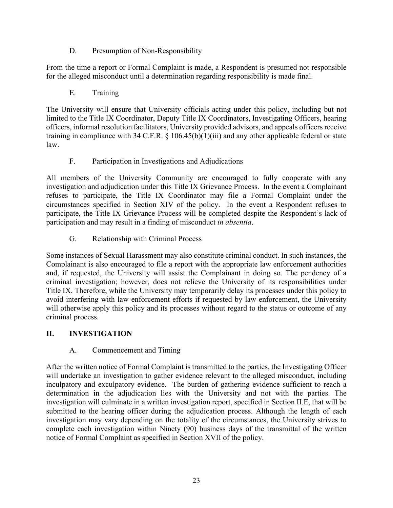D. Presumption of Non-Responsibility

From the time a report or Formal Complaint is made, a Respondent is presumed not responsible for the alleged misconduct until a determination regarding responsibility is made final.

E. Training

The University will ensure that University officials acting under this policy, including but not limited to the Title IX Coordinator, Deputy Title IX Coordinators, Investigating Officers, hearing officers, informal resolution facilitators, University provided advisors, and appeals officers receive training in compliance with 34 C.F.R. § 106.45(b)(1)(iii) and any other applicable federal or state law.

F. Participation in Investigations and Adjudications

All members of the University Community are encouraged to fully cooperate with any investigation and adjudication under this Title IX Grievance Process. In the event a Complainant refuses to participate, the Title IX Coordinator may file a Formal Complaint under the circumstances specified in Section XIV of the policy. In the event a Respondent refuses to participate, the Title IX Grievance Process will be completed despite the Respondent's lack of participation and may result in a finding of misconduct *in absentia*.

G. Relationship with Criminal Process

Some instances of Sexual Harassment may also constitute criminal conduct. In such instances, the Complainant is also encouraged to file a report with the appropriate law enforcement authorities and, if requested, the University will assist the Complainant in doing so. The pendency of a criminal investigation; however, does not relieve the University of its responsibilities under Title IX. Therefore, while the University may temporarily delay its processes under this policy to avoid interfering with law enforcement efforts if requested by law enforcement, the University will otherwise apply this policy and its processes without regard to the status or outcome of any criminal process.

## **II. INVESTIGATION**

## A. Commencement and Timing

After the written notice of Formal Complaint is transmitted to the parties, the Investigating Officer will undertake an investigation to gather evidence relevant to the alleged misconduct, including inculpatory and exculpatory evidence. The burden of gathering evidence sufficient to reach a determination in the adjudication lies with the University and not with the parties. The investigation will culminate in a written investigation report, specified in Section II.E, that will be submitted to the hearing officer during the adjudication process. Although the length of each investigation may vary depending on the totality of the circumstances, the University strives to complete each investigation within Ninety (90) business days of the transmittal of the written notice of Formal Complaint as specified in Section XVII of the policy.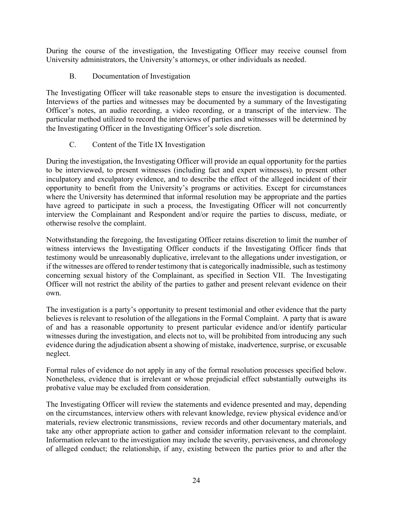During the course of the investigation, the Investigating Officer may receive counsel from University administrators, the University's attorneys, or other individuals as needed.

### B. Documentation of Investigation

The Investigating Officer will take reasonable steps to ensure the investigation is documented. Interviews of the parties and witnesses may be documented by a summary of the Investigating Officer's notes, an audio recording, a video recording, or a transcript of the interview. The particular method utilized to record the interviews of parties and witnesses will be determined by the Investigating Officer in the Investigating Officer's sole discretion.

### C. Content of the Title IX Investigation

During the investigation, the Investigating Officer will provide an equal opportunity for the parties to be interviewed, to present witnesses (including fact and expert witnesses), to present other inculpatory and exculpatory evidence, and to describe the effect of the alleged incident of their opportunity to benefit from the University's programs or activities. Except for circumstances where the University has determined that informal resolution may be appropriate and the parties have agreed to participate in such a process, the Investigating Officer will not concurrently interview the Complainant and Respondent and/or require the parties to discuss, mediate, or otherwise resolve the complaint.

Notwithstanding the foregoing, the Investigating Officer retains discretion to limit the number of witness interviews the Investigating Officer conducts if the Investigating Officer finds that testimony would be unreasonably duplicative, irrelevant to the allegations under investigation, or if the witnesses are offered to render testimony that is categorically inadmissible, such as testimony concerning sexual history of the Complainant, as specified in Section VII. The Investigating Officer will not restrict the ability of the parties to gather and present relevant evidence on their own.

The investigation is a party's opportunity to present testimonial and other evidence that the party believes is relevant to resolution of the allegations in the Formal Complaint. A party that is aware of and has a reasonable opportunity to present particular evidence and/or identify particular witnesses during the investigation, and elects not to, will be prohibited from introducing any such evidence during the adjudication absent a showing of mistake, inadvertence, surprise, or excusable neglect.

Formal rules of evidence do not apply in any of the formal resolution processes specified below. Nonetheless, evidence that is irrelevant or whose prejudicial effect substantially outweighs its probative value may be excluded from consideration.

The Investigating Officer will review the statements and evidence presented and may, depending on the circumstances, interview others with relevant knowledge, review physical evidence and/or materials, review electronic transmissions, review records and other documentary materials, and take any other appropriate action to gather and consider information relevant to the complaint. Information relevant to the investigation may include the severity, pervasiveness, and chronology of alleged conduct; the relationship, if any, existing between the parties prior to and after the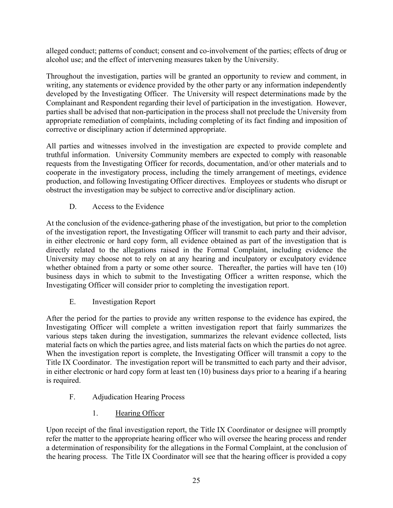alleged conduct; patterns of conduct; consent and co-involvement of the parties; effects of drug or alcohol use; and the effect of intervening measures taken by the University.

Throughout the investigation, parties will be granted an opportunity to review and comment, in writing, any statements or evidence provided by the other party or any information independently developed by the Investigating Officer. The University will respect determinations made by the Complainant and Respondent regarding their level of participation in the investigation. However, parties shall be advised that non-participation in the process shall not preclude the University from appropriate remediation of complaints, including completing of its fact finding and imposition of corrective or disciplinary action if determined appropriate.

All parties and witnesses involved in the investigation are expected to provide complete and truthful information. University Community members are expected to comply with reasonable requests from the Investigating Officer for records, documentation, and/or other materials and to cooperate in the investigatory process, including the timely arrangement of meetings, evidence production, and following Investigating Officer directives. Employees or students who disrupt or obstruct the investigation may be subject to corrective and/or disciplinary action.

# D. Access to the Evidence

At the conclusion of the evidence-gathering phase of the investigation, but prior to the completion of the investigation report, the Investigating Officer will transmit to each party and their advisor, in either electronic or hard copy form, all evidence obtained as part of the investigation that is directly related to the allegations raised in the Formal Complaint, including evidence the University may choose not to rely on at any hearing and inculpatory or exculpatory evidence whether obtained from a party or some other source. Thereafter, the parties will have ten (10) business days in which to submit to the Investigating Officer a written response, which the Investigating Officer will consider prior to completing the investigation report.

## E. Investigation Report

After the period for the parties to provide any written response to the evidence has expired, the Investigating Officer will complete a written investigation report that fairly summarizes the various steps taken during the investigation, summarizes the relevant evidence collected, lists material facts on which the parties agree, and lists material facts on which the parties do not agree. When the investigation report is complete, the Investigating Officer will transmit a copy to the Title IX Coordinator. The investigation report will be transmitted to each party and their advisor, in either electronic or hard copy form at least ten (10) business days prior to a hearing if a hearing is required.

- F. Adjudication Hearing Process
	- 1. Hearing Officer

Upon receipt of the final investigation report, the Title IX Coordinator or designee will promptly refer the matter to the appropriate hearing officer who will oversee the hearing process and render a determination of responsibility for the allegations in the Formal Complaint, at the conclusion of the hearing process. The Title IX Coordinator will see that the hearing officer is provided a copy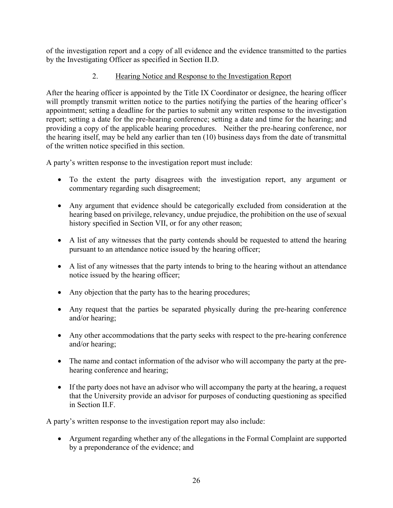of the investigation report and a copy of all evidence and the evidence transmitted to the parties by the Investigating Officer as specified in Section II.D.

## 2. Hearing Notice and Response to the Investigation Report

After the hearing officer is appointed by the Title IX Coordinator or designee, the hearing officer will promptly transmit written notice to the parties notifying the parties of the hearing officer's appointment; setting a deadline for the parties to submit any written response to the investigation report; setting a date for the pre-hearing conference; setting a date and time for the hearing; and providing a copy of the applicable hearing procedures. Neither the pre-hearing conference, nor the hearing itself, may be held any earlier than ten (10) business days from the date of transmittal of the written notice specified in this section.

A party's written response to the investigation report must include:

- To the extent the party disagrees with the investigation report, any argument or commentary regarding such disagreement;
- Any argument that evidence should be categorically excluded from consideration at the hearing based on privilege, relevancy, undue prejudice, the prohibition on the use of sexual history specified in Section VII, or for any other reason;
- A list of any witnesses that the party contends should be requested to attend the hearing pursuant to an attendance notice issued by the hearing officer;
- A list of any witnesses that the party intends to bring to the hearing without an attendance notice issued by the hearing officer;
- Any objection that the party has to the hearing procedures;
- Any request that the parties be separated physically during the pre-hearing conference and/or hearing;
- Any other accommodations that the party seeks with respect to the pre-hearing conference and/or hearing;
- The name and contact information of the advisor who will accompany the party at the prehearing conference and hearing;
- If the party does not have an advisor who will accompany the party at the hearing, a request that the University provide an advisor for purposes of conducting questioning as specified in Section II.F.

A party's written response to the investigation report may also include:

 Argument regarding whether any of the allegations in the Formal Complaint are supported by a preponderance of the evidence; and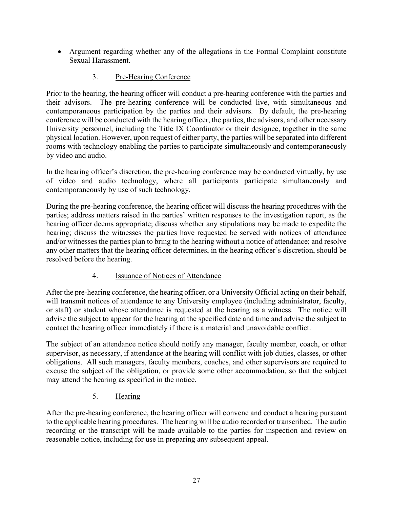Argument regarding whether any of the allegations in the Formal Complaint constitute Sexual Harassment.

## 3. Pre-Hearing Conference

Prior to the hearing, the hearing officer will conduct a pre-hearing conference with the parties and their advisors. The pre-hearing conference will be conducted live, with simultaneous and contemporaneous participation by the parties and their advisors. By default, the pre-hearing conference will be conducted with the hearing officer, the parties, the advisors, and other necessary University personnel, including the Title IX Coordinator or their designee, together in the same physical location. However, upon request of either party, the parties will be separated into different rooms with technology enabling the parties to participate simultaneously and contemporaneously by video and audio.

In the hearing officer's discretion, the pre-hearing conference may be conducted virtually, by use of video and audio technology, where all participants participate simultaneously and contemporaneously by use of such technology.

During the pre-hearing conference, the hearing officer will discuss the hearing procedures with the parties; address matters raised in the parties' written responses to the investigation report, as the hearing officer deems appropriate; discuss whether any stipulations may be made to expedite the hearing; discuss the witnesses the parties have requested be served with notices of attendance and/or witnesses the parties plan to bring to the hearing without a notice of attendance; and resolve any other matters that the hearing officer determines, in the hearing officer's discretion, should be resolved before the hearing.

## 4. Issuance of Notices of Attendance

After the pre-hearing conference, the hearing officer, or a University Official acting on their behalf, will transmit notices of attendance to any University employee (including administrator, faculty, or staff) or student whose attendance is requested at the hearing as a witness. The notice will advise the subject to appear for the hearing at the specified date and time and advise the subject to contact the hearing officer immediately if there is a material and unavoidable conflict.

The subject of an attendance notice should notify any manager, faculty member, coach, or other supervisor, as necessary, if attendance at the hearing will conflict with job duties, classes, or other obligations. All such managers, faculty members, coaches, and other supervisors are required to excuse the subject of the obligation, or provide some other accommodation, so that the subject may attend the hearing as specified in the notice.

## 5. Hearing

After the pre-hearing conference, the hearing officer will convene and conduct a hearing pursuant to the applicable hearing procedures. The hearing will be audio recorded or transcribed. The audio recording or the transcript will be made available to the parties for inspection and review on reasonable notice, including for use in preparing any subsequent appeal.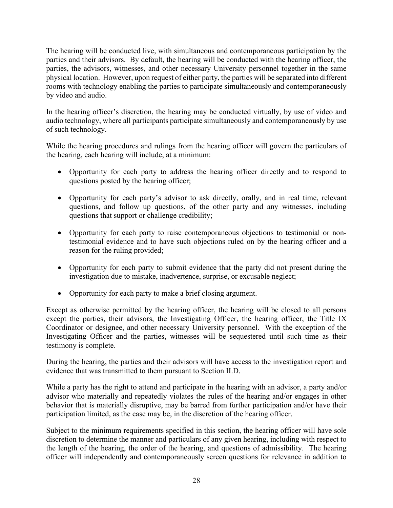The hearing will be conducted live, with simultaneous and contemporaneous participation by the parties and their advisors. By default, the hearing will be conducted with the hearing officer, the parties, the advisors, witnesses, and other necessary University personnel together in the same physical location. However, upon request of either party, the parties will be separated into different rooms with technology enabling the parties to participate simultaneously and contemporaneously by video and audio.

In the hearing officer's discretion, the hearing may be conducted virtually, by use of video and audio technology, where all participants participate simultaneously and contemporaneously by use of such technology.

While the hearing procedures and rulings from the hearing officer will govern the particulars of the hearing, each hearing will include, at a minimum:

- Opportunity for each party to address the hearing officer directly and to respond to questions posted by the hearing officer;
- Opportunity for each party's advisor to ask directly, orally, and in real time, relevant questions, and follow up questions, of the other party and any witnesses, including questions that support or challenge credibility;
- Opportunity for each party to raise contemporaneous objections to testimonial or nontestimonial evidence and to have such objections ruled on by the hearing officer and a reason for the ruling provided;
- Opportunity for each party to submit evidence that the party did not present during the investigation due to mistake, inadvertence, surprise, or excusable neglect;
- Opportunity for each party to make a brief closing argument.

Except as otherwise permitted by the hearing officer, the hearing will be closed to all persons except the parties, their advisors, the Investigating Officer, the hearing officer, the Title IX Coordinator or designee, and other necessary University personnel. With the exception of the Investigating Officer and the parties, witnesses will be sequestered until such time as their testimony is complete.

During the hearing, the parties and their advisors will have access to the investigation report and evidence that was transmitted to them pursuant to Section II.D.

While a party has the right to attend and participate in the hearing with an advisor, a party and/or advisor who materially and repeatedly violates the rules of the hearing and/or engages in other behavior that is materially disruptive, may be barred from further participation and/or have their participation limited, as the case may be, in the discretion of the hearing officer.

Subject to the minimum requirements specified in this section, the hearing officer will have sole discretion to determine the manner and particulars of any given hearing, including with respect to the length of the hearing, the order of the hearing, and questions of admissibility. The hearing officer will independently and contemporaneously screen questions for relevance in addition to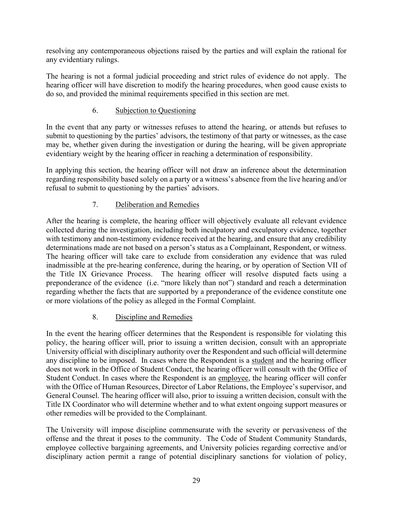resolving any contemporaneous objections raised by the parties and will explain the rational for any evidentiary rulings.

The hearing is not a formal judicial proceeding and strict rules of evidence do not apply. The hearing officer will have discretion to modify the hearing procedures, when good cause exists to do so, and provided the minimal requirements specified in this section are met.

## 6. Subjection to Questioning

In the event that any party or witnesses refuses to attend the hearing, or attends but refuses to submit to questioning by the parties' advisors, the testimony of that party or witnesses, as the case may be, whether given during the investigation or during the hearing, will be given appropriate evidentiary weight by the hearing officer in reaching a determination of responsibility.

In applying this section, the hearing officer will not draw an inference about the determination regarding responsibility based solely on a party or a witness's absence from the live hearing and/or refusal to submit to questioning by the parties' advisors.

# 7. Deliberation and Remedies

After the hearing is complete, the hearing officer will objectively evaluate all relevant evidence collected during the investigation, including both inculpatory and exculpatory evidence, together with testimony and non-testimony evidence received at the hearing, and ensure that any credibility determinations made are not based on a person's status as a Complainant, Respondent, or witness. The hearing officer will take care to exclude from consideration any evidence that was ruled inadmissible at the pre-hearing conference, during the hearing, or by operation of Section VII of the Title IX Grievance Process. The hearing officer will resolve disputed facts using a preponderance of the evidence (i.e. "more likely than not") standard and reach a determination regarding whether the facts that are supported by a preponderance of the evidence constitute one or more violations of the policy as alleged in the Formal Complaint.

## 8. Discipline and Remedies

In the event the hearing officer determines that the Respondent is responsible for violating this policy, the hearing officer will, prior to issuing a written decision, consult with an appropriate University official with disciplinary authority over the Respondent and such official will determine any discipline to be imposed. In cases where the Respondent is a student and the hearing officer does not work in the Office of Student Conduct, the hearing officer will consult with the Office of Student Conduct. In cases where the Respondent is an employee, the hearing officer will confer with the Office of Human Resources, Director of Labor Relations, the Employee's supervisor, and General Counsel. The hearing officer will also, prior to issuing a written decision, consult with the Title IX Coordinator who will determine whether and to what extent ongoing support measures or other remedies will be provided to the Complainant.

The University will impose discipline commensurate with the severity or pervasiveness of the offense and the threat it poses to the community. The Code of Student Community Standards, employee collective bargaining agreements, and University policies regarding corrective and/or disciplinary action permit a range of potential disciplinary sanctions for violation of policy,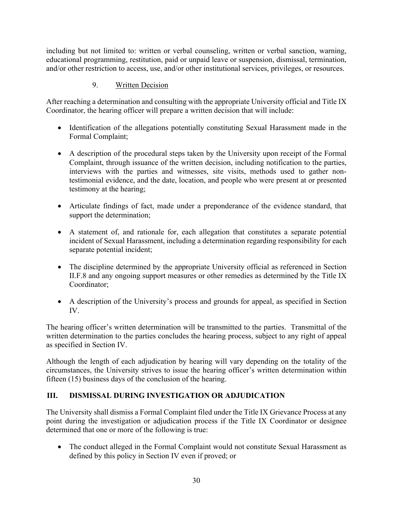including but not limited to: written or verbal counseling, written or verbal sanction, warning, educational programming, restitution, paid or unpaid leave or suspension, dismissal, termination, and/or other restriction to access, use, and/or other institutional services, privileges, or resources.

## 9. Written Decision

After reaching a determination and consulting with the appropriate University official and Title IX Coordinator, the hearing officer will prepare a written decision that will include:

- Identification of the allegations potentially constituting Sexual Harassment made in the Formal Complaint;
- A description of the procedural steps taken by the University upon receipt of the Formal Complaint, through issuance of the written decision, including notification to the parties, interviews with the parties and witnesses, site visits, methods used to gather nontestimonial evidence, and the date, location, and people who were present at or presented testimony at the hearing;
- Articulate findings of fact, made under a preponderance of the evidence standard, that support the determination;
- A statement of, and rationale for, each allegation that constitutes a separate potential incident of Sexual Harassment, including a determination regarding responsibility for each separate potential incident;
- The discipline determined by the appropriate University official as referenced in Section II.F.8 and any ongoing support measures or other remedies as determined by the Title IX Coordinator;
- A description of the University's process and grounds for appeal, as specified in Section IV.

The hearing officer's written determination will be transmitted to the parties. Transmittal of the written determination to the parties concludes the hearing process, subject to any right of appeal as specified in Section IV.

Although the length of each adjudication by hearing will vary depending on the totality of the circumstances, the University strives to issue the hearing officer's written determination within fifteen (15) business days of the conclusion of the hearing.

## **III. DISMISSAL DURING INVESTIGATION OR ADJUDICATION**

The University shall dismiss a Formal Complaint filed under the Title IX Grievance Process at any point during the investigation or adjudication process if the Title IX Coordinator or designee determined that one or more of the following is true:

• The conduct alleged in the Formal Complaint would not constitute Sexual Harassment as defined by this policy in Section IV even if proved; or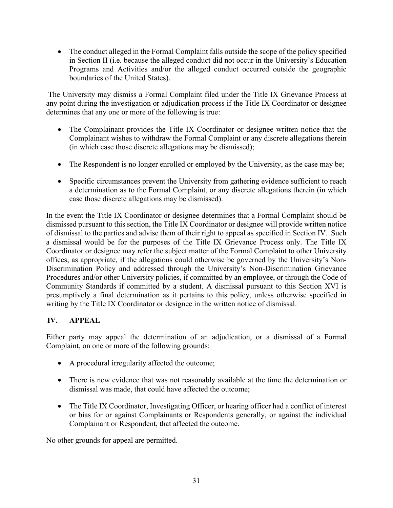• The conduct alleged in the Formal Complaint falls outside the scope of the policy specified in Section II (i.e. because the alleged conduct did not occur in the University's Education Programs and Activities and/or the alleged conduct occurred outside the geographic boundaries of the United States).

 The University may dismiss a Formal Complaint filed under the Title IX Grievance Process at any point during the investigation or adjudication process if the Title IX Coordinator or designee determines that any one or more of the following is true:

- The Complainant provides the Title IX Coordinator or designee written notice that the Complainant wishes to withdraw the Formal Complaint or any discrete allegations therein (in which case those discrete allegations may be dismissed);
- The Respondent is no longer enrolled or employed by the University, as the case may be;
- Specific circumstances prevent the University from gathering evidence sufficient to reach a determination as to the Formal Complaint, or any discrete allegations therein (in which case those discrete allegations may be dismissed).

In the event the Title IX Coordinator or designee determines that a Formal Complaint should be dismissed pursuant to this section, the Title IX Coordinator or designee will provide written notice of dismissal to the parties and advise them of their right to appeal as specified in Section IV. Such a dismissal would be for the purposes of the Title IX Grievance Process only. The Title IX Coordinator or designee may refer the subject matter of the Formal Complaint to other University offices, as appropriate, if the allegations could otherwise be governed by the University's Non-Discrimination Policy and addressed through the University's Non-Discrimination Grievance Procedures and/or other University policies, if committed by an employee, or through the Code of Community Standards if committed by a student. A dismissal pursuant to this Section XVI is presumptively a final determination as it pertains to this policy, unless otherwise specified in writing by the Title IX Coordinator or designee in the written notice of dismissal.

### **IV. APPEAL**

Either party may appeal the determination of an adjudication, or a dismissal of a Formal Complaint, on one or more of the following grounds:

- A procedural irregularity affected the outcome;
- There is new evidence that was not reasonably available at the time the determination or dismissal was made, that could have affected the outcome;
- The Title IX Coordinator, Investigating Officer, or hearing officer had a conflict of interest or bias for or against Complainants or Respondents generally, or against the individual Complainant or Respondent, that affected the outcome.

No other grounds for appeal are permitted.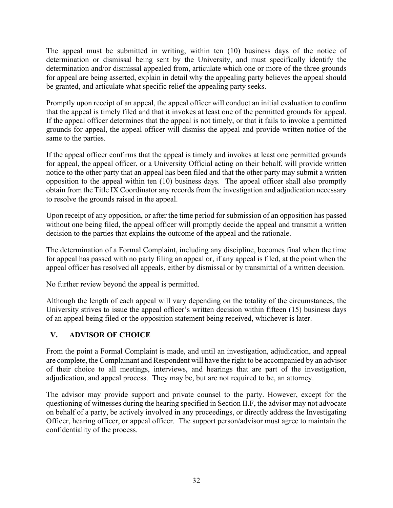The appeal must be submitted in writing, within ten (10) business days of the notice of determination or dismissal being sent by the University, and must specifically identify the determination and/or dismissal appealed from, articulate which one or more of the three grounds for appeal are being asserted, explain in detail why the appealing party believes the appeal should be granted, and articulate what specific relief the appealing party seeks.

Promptly upon receipt of an appeal, the appeal officer will conduct an initial evaluation to confirm that the appeal is timely filed and that it invokes at least one of the permitted grounds for appeal. If the appeal officer determines that the appeal is not timely, or that it fails to invoke a permitted grounds for appeal, the appeal officer will dismiss the appeal and provide written notice of the same to the parties.

If the appeal officer confirms that the appeal is timely and invokes at least one permitted grounds for appeal, the appeal officer, or a University Official acting on their behalf, will provide written notice to the other party that an appeal has been filed and that the other party may submit a written opposition to the appeal within ten (10) business days. The appeal officer shall also promptly obtain from the Title IX Coordinator any records from the investigation and adjudication necessary to resolve the grounds raised in the appeal.

Upon receipt of any opposition, or after the time period for submission of an opposition has passed without one being filed, the appeal officer will promptly decide the appeal and transmit a written decision to the parties that explains the outcome of the appeal and the rationale.

The determination of a Formal Complaint, including any discipline, becomes final when the time for appeal has passed with no party filing an appeal or, if any appeal is filed, at the point when the appeal officer has resolved all appeals, either by dismissal or by transmittal of a written decision.

No further review beyond the appeal is permitted.

Although the length of each appeal will vary depending on the totality of the circumstances, the University strives to issue the appeal officer's written decision within fifteen (15) business days of an appeal being filed or the opposition statement being received, whichever is later.

## **V. ADVISOR OF CHOICE**

From the point a Formal Complaint is made, and until an investigation, adjudication, and appeal are complete, the Complainant and Respondent will have the right to be accompanied by an advisor of their choice to all meetings, interviews, and hearings that are part of the investigation, adjudication, and appeal process. They may be, but are not required to be, an attorney.

The advisor may provide support and private counsel to the party. However, except for the questioning of witnesses during the hearing specified in Section II.F, the advisor may not advocate on behalf of a party, be actively involved in any proceedings, or directly address the Investigating Officer, hearing officer, or appeal officer. The support person/advisor must agree to maintain the confidentiality of the process.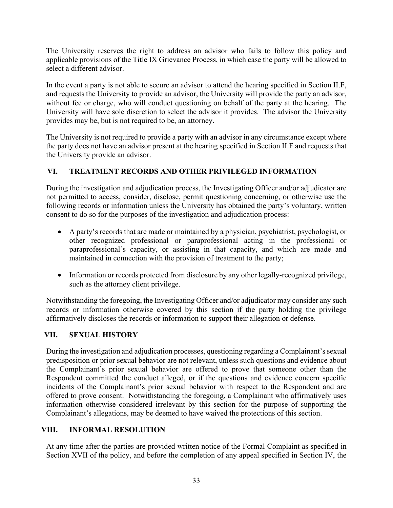The University reserves the right to address an advisor who fails to follow this policy and applicable provisions of the Title IX Grievance Process, in which case the party will be allowed to select a different advisor.

In the event a party is not able to secure an advisor to attend the hearing specified in Section II.F, and requests the University to provide an advisor, the University will provide the party an advisor, without fee or charge, who will conduct questioning on behalf of the party at the hearing. The University will have sole discretion to select the advisor it provides. The advisor the University provides may be, but is not required to be, an attorney.

The University is not required to provide a party with an advisor in any circumstance except where the party does not have an advisor present at the hearing specified in Section II.F and requests that the University provide an advisor.

## **VI. TREATMENT RECORDS AND OTHER PRIVILEGED INFORMATION**

During the investigation and adjudication process, the Investigating Officer and/or adjudicator are not permitted to access, consider, disclose, permit questioning concerning, or otherwise use the following records or information unless the University has obtained the party's voluntary, written consent to do so for the purposes of the investigation and adjudication process:

- A party's records that are made or maintained by a physician, psychiatrist, psychologist, or other recognized professional or paraprofessional acting in the professional or paraprofessional's capacity, or assisting in that capacity, and which are made and maintained in connection with the provision of treatment to the party;
- Information or records protected from disclosure by any other legally-recognized privilege, such as the attorney client privilege.

Notwithstanding the foregoing, the Investigating Officer and/or adjudicator may consider any such records or information otherwise covered by this section if the party holding the privilege affirmatively discloses the records or information to support their allegation or defense.

## **VII. SEXUAL HISTORY**

During the investigation and adjudication processes, questioning regarding a Complainant's sexual predisposition or prior sexual behavior are not relevant, unless such questions and evidence about the Complainant's prior sexual behavior are offered to prove that someone other than the Respondent committed the conduct alleged, or if the questions and evidence concern specific incidents of the Complainant's prior sexual behavior with respect to the Respondent and are offered to prove consent. Notwithstanding the foregoing, a Complainant who affirmatively uses information otherwise considered irrelevant by this section for the purpose of supporting the Complainant's allegations, may be deemed to have waived the protections of this section.

# **VIII. INFORMAL RESOLUTION**

At any time after the parties are provided written notice of the Formal Complaint as specified in Section XVII of the policy, and before the completion of any appeal specified in Section IV, the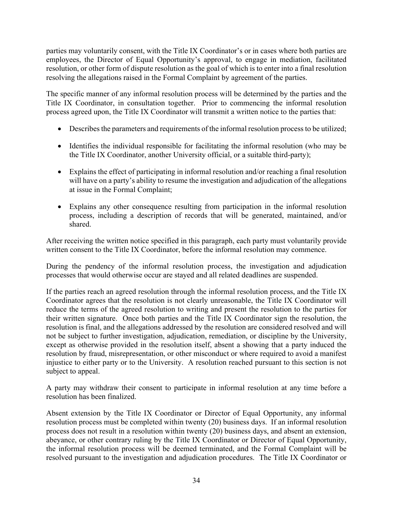parties may voluntarily consent, with the Title IX Coordinator's or in cases where both parties are employees, the Director of Equal Opportunity's approval, to engage in mediation, facilitated resolution, or other form of dispute resolution as the goal of which is to enter into a final resolution resolving the allegations raised in the Formal Complaint by agreement of the parties.

The specific manner of any informal resolution process will be determined by the parties and the Title IX Coordinator, in consultation together. Prior to commencing the informal resolution process agreed upon, the Title IX Coordinator will transmit a written notice to the parties that:

- Describes the parameters and requirements of the informal resolution process to be utilized;
- Identifies the individual responsible for facilitating the informal resolution (who may be the Title IX Coordinator, another University official, or a suitable third-party);
- Explains the effect of participating in informal resolution and/or reaching a final resolution will have on a party's ability to resume the investigation and adjudication of the allegations at issue in the Formal Complaint;
- Explains any other consequence resulting from participation in the informal resolution process, including a description of records that will be generated, maintained, and/or shared.

After receiving the written notice specified in this paragraph, each party must voluntarily provide written consent to the Title IX Coordinator, before the informal resolution may commence.

During the pendency of the informal resolution process, the investigation and adjudication processes that would otherwise occur are stayed and all related deadlines are suspended.

If the parties reach an agreed resolution through the informal resolution process, and the Title IX Coordinator agrees that the resolution is not clearly unreasonable, the Title IX Coordinator will reduce the terms of the agreed resolution to writing and present the resolution to the parties for their written signature. Once both parties and the Title IX Coordinator sign the resolution, the resolution is final, and the allegations addressed by the resolution are considered resolved and will not be subject to further investigation, adjudication, remediation, or discipline by the University, except as otherwise provided in the resolution itself, absent a showing that a party induced the resolution by fraud, misrepresentation, or other misconduct or where required to avoid a manifest injustice to either party or to the University. A resolution reached pursuant to this section is not subject to appeal.

A party may withdraw their consent to participate in informal resolution at any time before a resolution has been finalized.

Absent extension by the Title IX Coordinator or Director of Equal Opportunity, any informal resolution process must be completed within twenty (20) business days. If an informal resolution process does not result in a resolution within twenty (20) business days, and absent an extension, abeyance, or other contrary ruling by the Title IX Coordinator or Director of Equal Opportunity, the informal resolution process will be deemed terminated, and the Formal Complaint will be resolved pursuant to the investigation and adjudication procedures. The Title IX Coordinator or